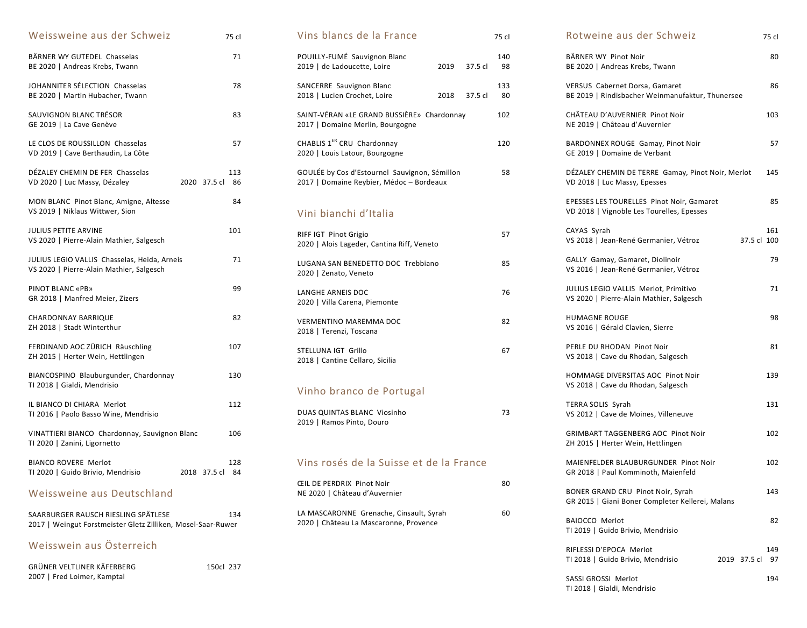| Weissweine aus der Schweiz                                                               |              | 75 cl     |
|------------------------------------------------------------------------------------------|--------------|-----------|
| BÄRNER WY GUTEDEL Chasselas<br>BE 2020   Andreas Krebs, Twann                            |              | 71        |
| JOHANNITER SÉLECTION Chasselas<br>BE 2020   Martin Hubacher, Twann                       |              | 78        |
| SAUVIGNON BLANC TRÉSOR<br>GE 2019   La Cave Genève                                       |              | 83        |
| LE CLOS DE ROUSSILLON Chasselas<br>VD 2019   Cave Berthaudin, La Côte                    |              | 57        |
| DÉZALEY CHEMIN DE FER Chasselas<br>VD 2020   Luc Massy, Dézaley                          | 2020 37.5 cl | 113<br>86 |
| MON BLANC Pinot Blanc, Amigne, Altesse<br>VS 2019   Niklaus Wittwer, Sion                |              | 84        |
| <b>JULIUS PETITE ARVINE</b><br>VS 2020   Pierre-Alain Mathier, Salgesch                  |              | 101       |
| JULIUS LEGIO VALLIS Chasselas, Heida, Arneis<br>VS 2020   Pierre-Alain Mathier, Salgesch |              | 71        |
| PINOT BLANC «PB»<br>GR 2018   Manfred Meier, Zizers                                      |              | 99        |
| <b>CHARDONNAY BARRIQUE</b><br>ZH 2018   Stadt Winterthur                                 |              | 82        |
| FERDINAND AOC ZÜRICH Räuschling<br>ZH 2015   Herter Wein, Hettlingen                     |              | 107       |
| BIANCOSPINO Blauburgunder, Chardonnay<br>TI 2018   Gialdi, Mendrisio                     |              | 130       |
| IL BIANCO DI CHIARA Merlot<br>TI 2016   Paolo Basso Wine, Mendrisio                      |              | 112       |
| VINATTIERI BIANCO Chardonnay, Sauvignon Blanc<br>TI 2020   Zanini, Ligornetto            |              | 106       |
| <b>BIANCO ROVERE Merlot</b><br>TI 2020   Guido Brivio, Mendrisio                         | 2018 37.5 cl | 128<br>84 |
| Weissweine aus Deutschland                                                               |              |           |

| SAARBURGER RAUSCH RIESLING SPATLESE                          | 134 |
|--------------------------------------------------------------|-----|
| 2017   Weingut Forstmeister Gletz Zilliken, Mosel-Saar-Ruwer |     |

## Weisswein aus Österreich

| GRÜNER VELTLINER KÄFERBERG  | 150cl 237 |  |
|-----------------------------|-----------|--|
| 2007   Fred Loimer, Kamptal |           |  |

| Vins blancs de la France                                                                  | 75 cl     |
|-------------------------------------------------------------------------------------------|-----------|
| POUILLY-FUMÉ Sauvignon Blanc<br>2019   de Ladoucette, Loire<br>2019 37.5 cl               | 140<br>98 |
| SANCERRE Sauvignon Blanc<br>2018   Lucien Crochet, Loire<br>2018<br>37.5 cl               | 133<br>80 |
| SAINT-VÉRAN «LE GRAND BUSSIÈRE» Chardonnay<br>2017   Domaine Merlin, Bourgogne            | 102       |
| CHABLIS 1 <sup>ER</sup> CRU Chardonnay<br>2020   Louis Latour, Bourgogne                  | 120       |
| GOULÉE by Cos d'Estournel Sauvignon, Sémillon<br>2017   Domaine Reybier, Médoc - Bordeaux | 58        |
| Vini bianchi d'Italia                                                                     |           |
| RIFF IGT Pinot Grigio<br>2020   Alois Lageder, Cantina Riff, Veneto                       | 57        |
| LUGANA SAN BENEDETTO DOC Trebbiano<br>2020   Zenato, Veneto                               | 85        |
| LANGHE ARNEIS DOC<br>2020   Villa Carena, Piemonte                                        | 76        |
| <b>VERMENTINO MAREMMA DOC</b><br>2018   Terenzi, Toscana                                  | 82        |
| STELLUNA IGT Grillo<br>2018   Cantine Cellaro, Sicilia                                    | 67        |
| Vinho branco de Portugal                                                                  |           |
| DUAS QUINTAS BLANC Viosinho<br>2019   Ramos Pinto, Douro                                  | 73        |
| Vins rosés de la Suisse et de la France                                                   |           |
| <b>CEIL DE PERDRIX Pinot Noir</b><br>NE 2020   Château d'Auvernier                        | 80        |
| LA MASCARONNE Grenache, Cinsault, Syrah<br>2020   Château La Mascaronne, Provence         | 60        |
|                                                                                           |           |

| Rotweine aus der Schweiz<br>75 cl                                                                   |  |
|-----------------------------------------------------------------------------------------------------|--|
| BÄRNER WY Pinot Noir<br>80<br>BE 2020   Andreas Krebs, Twann                                        |  |
| VERSUS Cabernet Dorsa, Gamaret<br>86<br>BE 2019   Rindisbacher Weinmanufaktur, Thunersee            |  |
| CHÂTEAU D'AUVERNIER Pinot Noir<br>103<br>NE 2019   Château d'Auvernier                              |  |
| BARDONNEX ROUGE Gamay, Pinot Noir<br>57<br>GE 2019   Domaine de Verbant                             |  |
| DÉZALEY CHEMIN DE TERRE Gamay, Pinot Noir, Merlot<br>145<br>VD 2018   Luc Massy, Epesses            |  |
| <b>EPESSES LES TOURELLES Pinot Noir, Gamaret</b><br>85<br>VD 2018   Vignoble Les Tourelles, Epesses |  |
| 161<br>CAYAS Syrah<br>VS 2018   Jean-René Germanier, Vétroz<br>37.5 cl 100                          |  |
| GALLY Gamay, Gamaret, Diolinoir<br>79<br>VS 2016   Jean-René Germanier, Vétroz                      |  |
| JULIUS LEGIO VALLIS Merlot, Primitivo<br>71<br>VS 2020   Pierre-Alain Mathier, Salgesch             |  |
| HUMAGNE ROUGE<br>98<br>VS 2016   Gérald Clavien, Sierre                                             |  |
| PERLE DU RHODAN Pinot Noir<br>81<br>VS 2018   Cave du Rhodan, Salgesch                              |  |
| HOMMAGE DIVERSITAS AOC Pinot Noir<br>139<br>VS 2018   Cave du Rhodan, Salgesch                      |  |
| <b>TERRA SOLIS Syrah</b><br>131<br>VS 2012   Cave de Moines, Villeneuve                             |  |
| <b>GRIMBART TAGGENBERG AOC Pinot Noir</b><br>102<br>ZH 2015   Herter Wein, Hettlingen               |  |
| MAIFNFFLDFR BLAUBURGUNDFR Pinot Noir<br>102<br>GR 2018   Paul Komminoth, Maienfeld                  |  |
| BONER GRAND CRU Pinot Noir, Syrah<br>143<br>GR 2015   Giani Boner Completer Kellerei, Malans        |  |
| <b>BAIOCCO Merlot</b><br>82<br>TI 2019   Guido Brivio, Mendrisio                                    |  |
| RIFLESSI D'EPOCA Merlot<br>149<br>2019 37.5 cl<br>TI 2018   Guido Brivio, Mendrisio<br>97           |  |
| SASSI GROSSI Merlot<br>194<br>TI 2018   Gialdi, Mendrisio                                           |  |